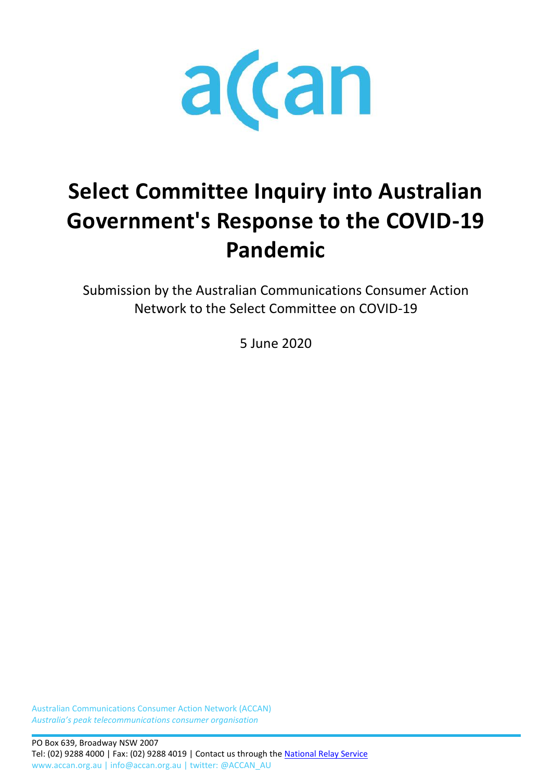

# **Select Committee Inquiry into Australian Government's Response to the COVID-19 Pandemic**

Submission by the Australian Communications Consumer Action Network to the Select Committee on COVID-19

5 June 2020

Australian Communications Consumer Action Network (ACCAN) *Australia's peak telecommunications consumer organisation*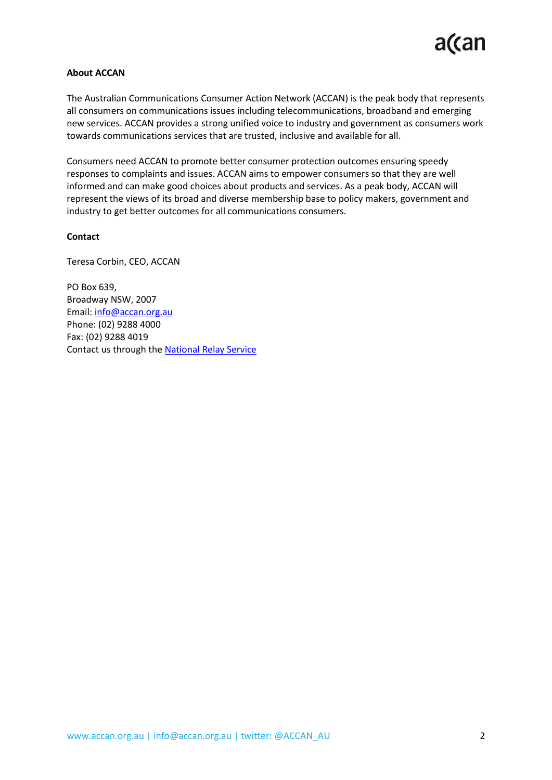#### **About ACCAN**

The Australian Communications Consumer Action Network (ACCAN) is the peak body that represents all consumers on communications issues including telecommunications, broadband and emerging new services. ACCAN provides a strong unified voice to industry and government as consumers work towards communications services that are trusted, inclusive and available for all.

Consumers need ACCAN to promote better consumer protection outcomes ensuring speedy responses to complaints and issues. ACCAN aims to empower consumers so that they are well informed and can make good choices about products and services. As a peak body, ACCAN will represent the views of its broad and diverse membership base to policy makers, government and industry to get better outcomes for all communications consumers.

#### **Contact**

Teresa Corbin, CEO, ACCAN

PO Box 639, Broadway NSW, 2007 Email: [info@accan.org.au](mailto:info@accan.org.au) Phone: (02) 9288 4000 Fax: (02) 9288 4019 Contact us through th[e National Relay Service](http://relayservice.gov.au/)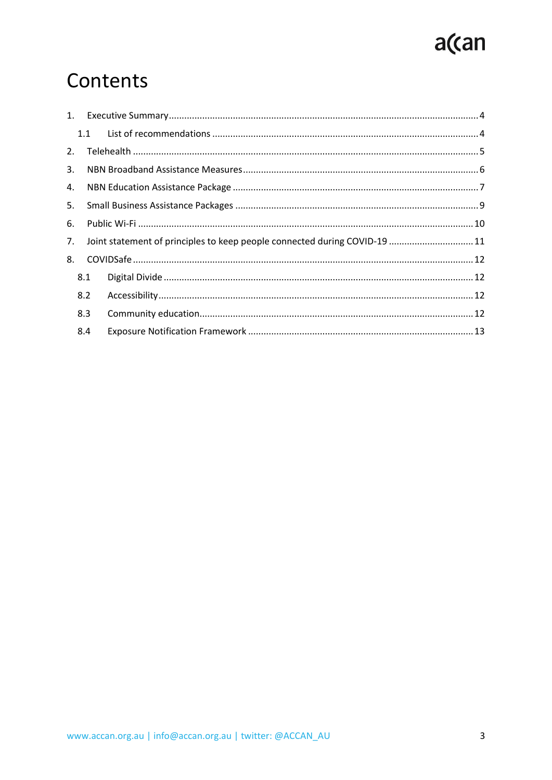# a(can

## Contents

|    |     | 1.1 |                                                                            |  |
|----|-----|-----|----------------------------------------------------------------------------|--|
| 2. |     |     |                                                                            |  |
| 3. |     |     |                                                                            |  |
| 4. |     |     |                                                                            |  |
| 5. |     |     |                                                                            |  |
| 6. |     |     |                                                                            |  |
| 7. |     |     | Joint statement of principles to keep people connected during COVID-19  11 |  |
| 8. |     |     |                                                                            |  |
|    | 8.1 |     |                                                                            |  |
|    | 8.2 |     |                                                                            |  |
|    | 8.3 |     |                                                                            |  |
|    | 8.4 |     |                                                                            |  |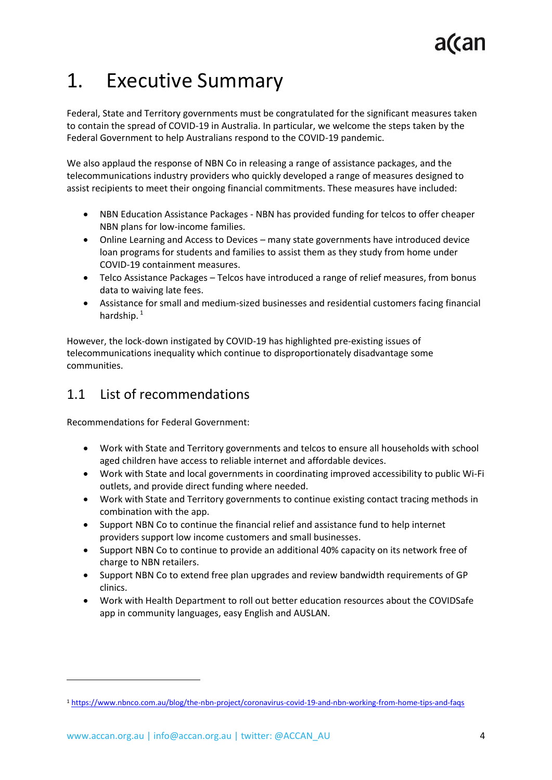## <span id="page-3-0"></span>1. Executive Summary

Federal, State and Territory governments must be congratulated for the significant measures taken to contain the spread of COVID-19 in Australia. In particular, we welcome the steps taken by the Federal Government to help Australians respond to the COVID-19 pandemic.

We also applaud the response of NBN Co in releasing a range of assistance packages, and the telecommunications industry providers who quickly developed a range of measures designed to assist recipients to meet their ongoing financial commitments. These measures have included:

- NBN Education Assistance Packages NBN has provided funding for telcos to offer cheaper NBN plans for low-income families.
- Online Learning and Access to Devices many state governments have introduced device loan programs for students and families to assist them as they study from home under COVID-19 containment measures.
- Telco Assistance Packages Telcos have introduced a range of relief measures, from bonus data to waiving late fees.
- Assistance for small and medium-sized businesses and residential customers facing financial hardship.<sup>1</sup>

However, the lock-down instigated by COVID-19 has highlighted pre-existing issues of telecommunications inequality which continue to disproportionately disadvantage some communities.

### <span id="page-3-1"></span>1.1 List of recommendations

Recommendations for Federal Government:

- Work with State and Territory governments and telcos to ensure all households with school aged children have access to reliable internet and affordable devices.
- Work with State and local governments in coordinating improved accessibility to public Wi-Fi outlets, and provide direct funding where needed.
- Work with State and Territory governments to continue existing contact tracing methods in combination with the app.
- Support NBN Co to continue the financial relief and assistance fund to help internet providers support low income customers and small businesses.
- Support NBN Co to continue to provide an additional 40% capacity on its network free of charge to NBN retailers.
- Support NBN Co to extend free plan upgrades and review bandwidth requirements of GP clinics.
- Work with Health Department to roll out better education resources about the COVIDSafe app in community languages, easy English and AUSLAN.

<sup>1</sup> <https://www.nbnco.com.au/blog/the-nbn-project/coronavirus-covid-19-and-nbn-working-from-home-tips-and-faqs>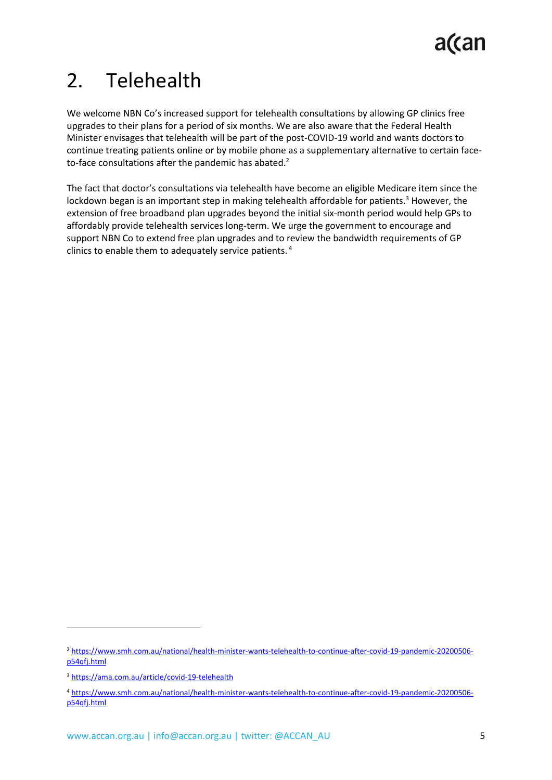## <span id="page-4-0"></span>2. Telehealth

We welcome NBN Co's increased support for telehealth consultations by allowing GP clinics free upgrades to their plans for a period of six months. We are also aware that the Federal Health Minister envisages that telehealth will be part of the post-COVID-19 world and wants doctors to continue treating patients online or by mobile phone as a supplementary alternative to certain faceto-face consultations after the pandemic has abated.<sup>2</sup>

The fact that doctor's consultations via telehealth have become an eligible Medicare item since the lockdown began is an important step in making telehealth affordable for patients. $3$  However, the extension of free broadband plan upgrades beyond the initial six-month period would help GPs to affordably provide telehealth services long-term. We urge the government to encourage and support NBN Co to extend free plan upgrades and to review the bandwidth requirements of GP clinics to enable them to adequately service patients. 4

<sup>2</sup> [https://www.smh.com.au/national/health-minister-wants-telehealth-to-continue-after-covid-19-pandemic-20200506](https://www.smh.com.au/national/health-minister-wants-telehealth-to-continue-after-covid-19-pandemic-20200506-p54qfj.html) [p54qfj.html](https://www.smh.com.au/national/health-minister-wants-telehealth-to-continue-after-covid-19-pandemic-20200506-p54qfj.html)

<sup>3</sup> <https://ama.com.au/article/covid-19-telehealth>

<sup>4</sup> [https://www.smh.com.au/national/health-minister-wants-telehealth-to-continue-after-covid-19-pandemic-20200506](https://www.smh.com.au/national/health-minister-wants-telehealth-to-continue-after-covid-19-pandemic-20200506-p54qfj.html) [p54qfj.html](https://www.smh.com.au/national/health-minister-wants-telehealth-to-continue-after-covid-19-pandemic-20200506-p54qfj.html)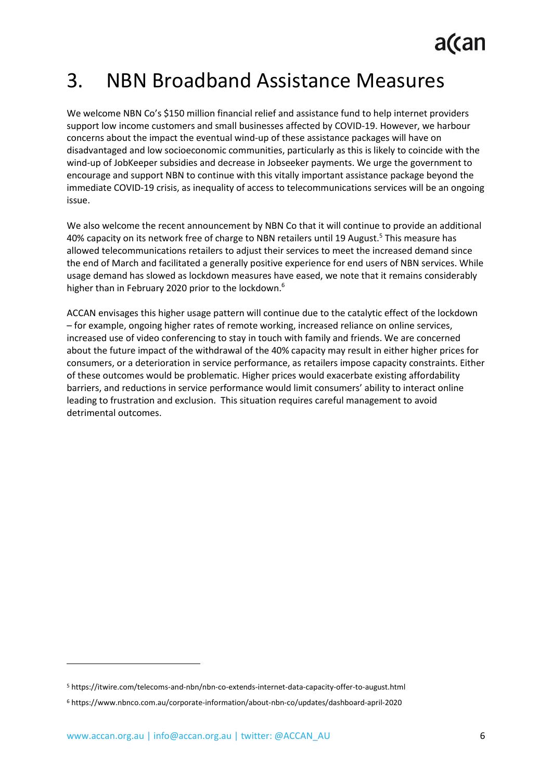### <span id="page-5-0"></span>3. NBN Broadband Assistance Measures

We welcome NBN Co's \$150 million financial relief and assistance fund to help internet providers support low income customers and small businesses affected by COVID-19. However, we harbour concerns about the impact the eventual wind-up of these assistance packages will have on disadvantaged and low socioeconomic communities, particularly as this is likely to coincide with the wind-up of JobKeeper subsidies and decrease in Jobseeker payments. We urge the government to encourage and support NBN to continue with this vitally important assistance package beyond the immediate COVID-19 crisis, as inequality of access to telecommunications services will be an ongoing issue.

We also welcome the recent announcement by NBN Co that it will continue to provide an additional 40% capacity on its network free of charge to NBN retailers until 19 August.<sup>5</sup> This measure has allowed telecommunications retailers to adjust their services to meet the increased demand since the end of March and facilitated a generally positive experience for end users of NBN services. While usage demand has slowed as lockdown measures have eased, we note that it remains considerably higher than in February 2020 prior to the lockdown.<sup>6</sup>

ACCAN envisages this higher usage pattern will continue due to the catalytic effect of the lockdown – for example, ongoing higher rates of remote working, increased reliance on online services, increased use of video conferencing to stay in touch with family and friends. We are concerned about the future impact of the withdrawal of the 40% capacity may result in either higher prices for consumers, or a deterioration in service performance, as retailers impose capacity constraints. Either of these outcomes would be problematic. Higher prices would exacerbate existing affordability barriers, and reductions in service performance would limit consumers' ability to interact online leading to frustration and exclusion. This situation requires careful management to avoid detrimental outcomes.

<sup>5</sup> https://itwire.com/telecoms-and-nbn/nbn-co-extends-internet-data-capacity-offer-to-august.html

<sup>6</sup> https://www.nbnco.com.au/corporate-information/about-nbn-co/updates/dashboard-april-2020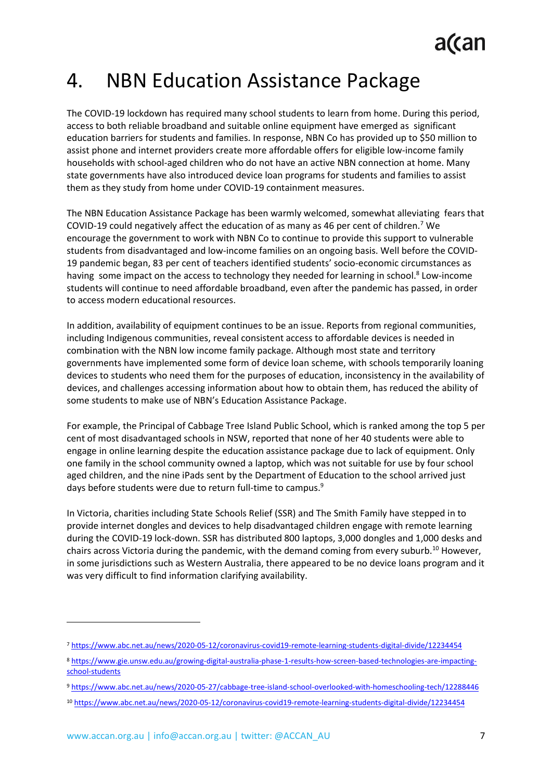## <span id="page-6-0"></span>4. NBN Education Assistance Package

The COVID-19 lockdown has required many school students to learn from home. During this period, access to both reliable broadband and suitable online equipment have emerged as significant education barriers for students and families. In response, NBN Co has provided up to \$50 million to assist phone and internet providers create more affordable offers for eligible low-income family households with school-aged children who do not have an active NBN connection at home. Many state governments have also introduced device loan programs for students and families to assist them as they study from home under COVID-19 containment measures.

The NBN Education Assistance Package has been warmly welcomed, somewhat alleviating fears that COVID-19 could negatively affect the education of as many as 46 per cent of children.<sup>7</sup> We encourage the government to work with NBN Co to continue to provide this support to vulnerable students from disadvantaged and low-income families on an ongoing basis. Well before the COVID-19 pandemic began, 83 per cent of teachers identified students' socio-economic circumstances as having some impact on the access to technology they needed for learning in school.<sup>8</sup> Low-income students will continue to need affordable broadband, even after the pandemic has passed, in order to access modern educational resources.

In addition, availability of equipment continues to be an issue. Reports from regional communities, including Indigenous communities, reveal consistent access to affordable devices is needed in combination with the NBN low income family package. Although most state and territory governments have implemented some form of device loan scheme, with schools temporarily loaning devices to students who need them for the purposes of education, inconsistency in the availability of devices, and challenges accessing information about how to obtain them, has reduced the ability of some students to make use of NBN's Education Assistance Package.

For example, the Principal of Cabbage Tree Island Public School, which is ranked among the top 5 per cent of most disadvantaged schools in NSW, reported that none of her 40 students were able to engage in online learning despite the education assistance package due to lack of equipment. Only one family in the school community owned a laptop, which was not suitable for use by four school aged children, and the nine iPads sent by the Department of Education to the school arrived just days before students were due to return full-time to campus.<sup>9</sup>

In Victoria, charities including State Schools Relief (SSR) and The Smith Family have stepped in to provide internet dongles and devices to help disadvantaged children engage with remote learning during the COVID-19 lock-down. SSR has distributed 800 laptops, 3,000 dongles and 1,000 desks and chairs across Victoria during the pandemic, with the demand coming from every suburb.<sup>10</sup> However, in some jurisdictions such as Western Australia, there appeared to be no device loans program and it was very difficult to find information clarifying availability.

<sup>7</sup> <https://www.abc.net.au/news/2020-05-12/coronavirus-covid19-remote-learning-students-digital-divide/12234454>

<sup>8</sup> [https://www.gie.unsw.edu.au/growing-digital-australia-phase-1-results-how-screen-based-technologies-are-impacting](https://www.gie.unsw.edu.au/growing-digital-australia-phase-1-results-how-screen-based-technologies-are-impacting-school-students)[school-students](https://www.gie.unsw.edu.au/growing-digital-australia-phase-1-results-how-screen-based-technologies-are-impacting-school-students)

<sup>9</sup> <https://www.abc.net.au/news/2020-05-27/cabbage-tree-island-school-overlooked-with-homeschooling-tech/12288446>

<sup>10</sup> <https://www.abc.net.au/news/2020-05-12/coronavirus-covid19-remote-learning-students-digital-divide/12234454>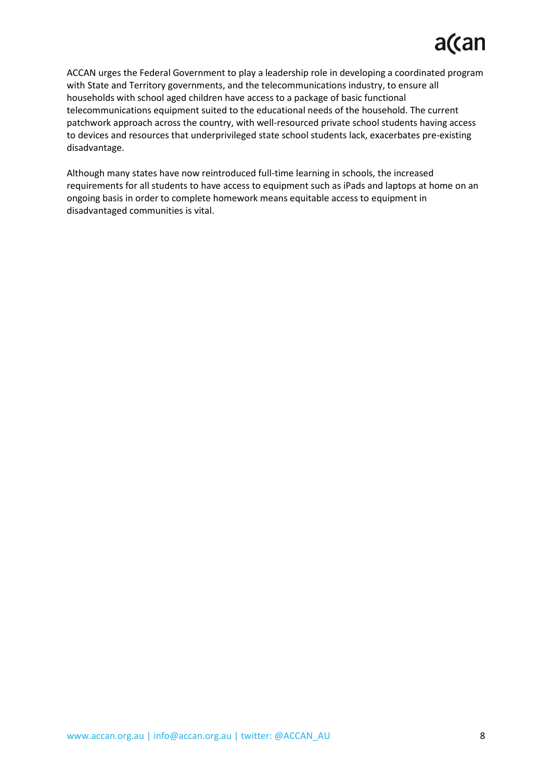## a(can

ACCAN urges the Federal Government to play a leadership role in developing a coordinated program with State and Territory governments, and the telecommunications industry, to ensure all households with school aged children have access to a package of basic functional telecommunications equipment suited to the educational needs of the household. The current patchwork approach across the country, with well-resourced private school students having access to devices and resources that underprivileged state school students lack, exacerbates pre-existing disadvantage.

Although many states have now reintroduced full-time learning in schools, the increased requirements for all students to have access to equipment such as iPads and laptops at home on an ongoing basis in order to complete homework means equitable access to equipment in disadvantaged communities is vital.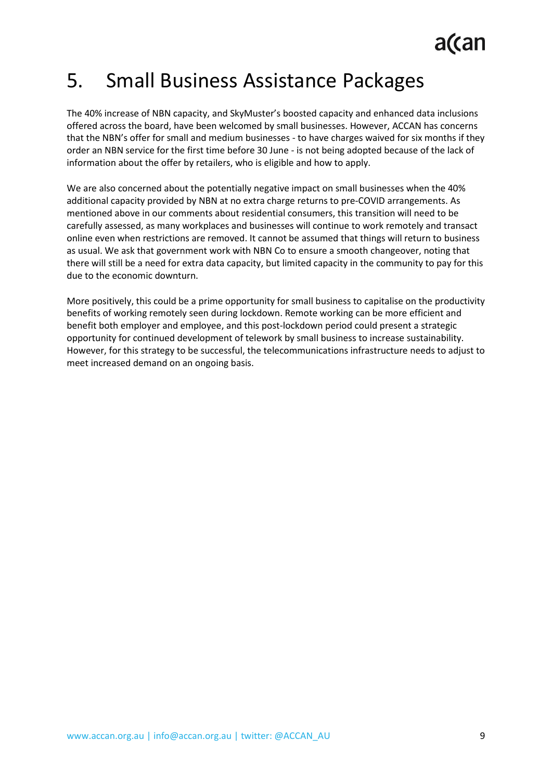## <span id="page-8-0"></span>5. Small Business Assistance Packages

The 40% increase of NBN capacity, and SkyMuster's boosted capacity and enhanced data inclusions offered across the board, have been welcomed by small businesses. However, ACCAN has concerns that the NBN's offer for small and medium businesses - to have charges waived for six months if they order an NBN service for the first time before 30 June - is not being adopted because of the lack of information about the offer by retailers, who is eligible and how to apply.

We are also concerned about the potentially negative impact on small businesses when the 40% additional capacity provided by NBN at no extra charge returns to pre-COVID arrangements. As mentioned above in our comments about residential consumers, this transition will need to be carefully assessed, as many workplaces and businesses will continue to work remotely and transact online even when restrictions are removed. It cannot be assumed that things will return to business as usual. We ask that government work with NBN Co to ensure a smooth changeover, noting that there will still be a need for extra data capacity, but limited capacity in the community to pay for this due to the economic downturn.

More positively, this could be a prime opportunity for small business to capitalise on the productivity benefits of working remotely seen during lockdown. Remote working can be more efficient and benefit both employer and employee, and this post-lockdown period could present a strategic opportunity for continued development of telework by small business to increase sustainability. However, for this strategy to be successful, the telecommunications infrastructure needs to adjust to meet increased demand on an ongoing basis.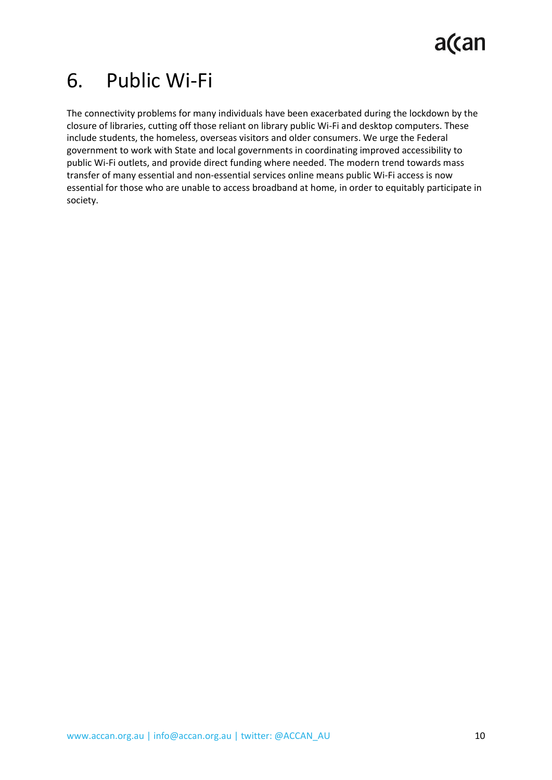## <span id="page-9-0"></span>6. Public Wi-Fi

The connectivity problems for many individuals have been exacerbated during the lockdown by the closure of libraries, cutting off those reliant on library public Wi-Fi and desktop computers. These include students, the homeless, overseas visitors and older consumers. We urge the Federal government to work with State and local governments in coordinating improved accessibility to public Wi-Fi outlets, and provide direct funding where needed. The modern trend towards mass transfer of many essential and non-essential services online means public Wi-Fi access is now essential for those who are unable to access broadband at home, in order to equitably participate in society.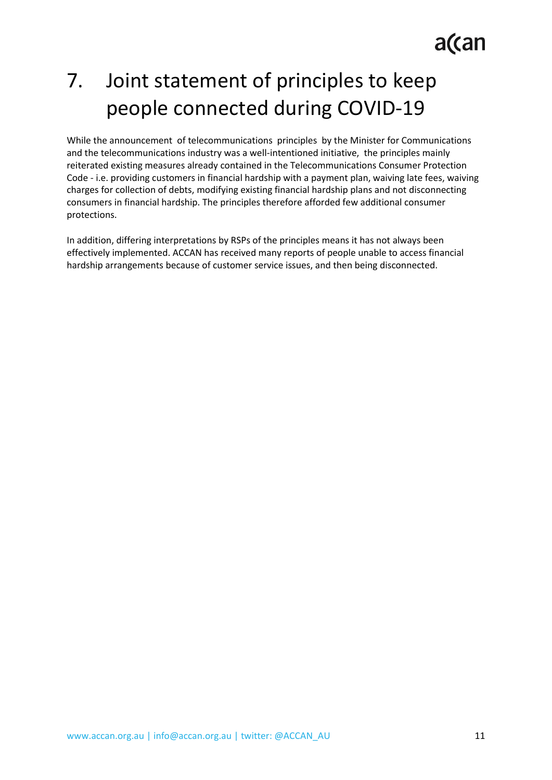a(can

## <span id="page-10-0"></span>7. Joint statement of principles to keep people connected during COVID-19

While the announcement of telecommunications principles by the Minister for Communications and the telecommunications industry was a well-intentioned initiative, the principles mainly reiterated existing measures already contained in the Telecommunications Consumer Protection Code - i.e. providing customers in financial hardship with a payment plan, waiving late fees, waiving charges for collection of debts, modifying existing financial hardship plans and not disconnecting consumers in financial hardship. The principles therefore afforded few additional consumer protections.

In addition, differing interpretations by RSPs of the principles means it has not always been effectively implemented. ACCAN has received many reports of people unable to access financial hardship arrangements because of customer service issues, and then being disconnected.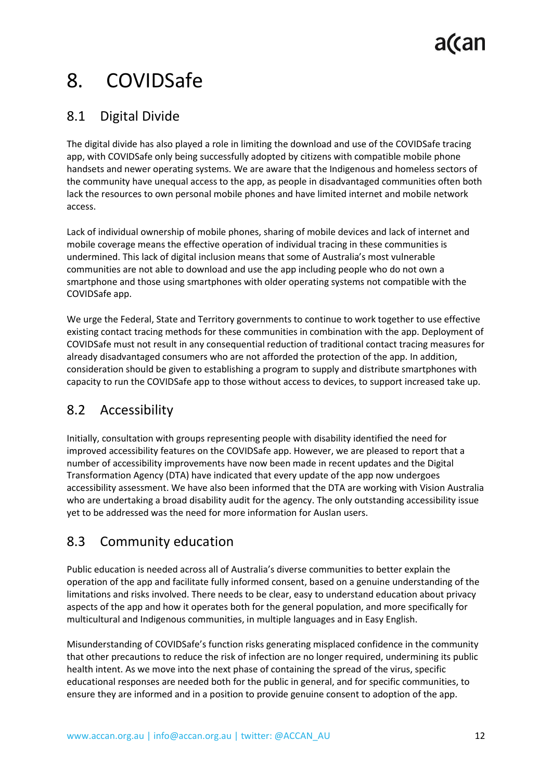## <span id="page-11-0"></span>8. COVIDSafe

### <span id="page-11-1"></span>8.1 Digital Divide

The digital divide has also played a role in limiting the download and use of the COVIDSafe tracing app, with COVIDSafe only being successfully adopted by citizens with compatible mobile phone handsets and newer operating systems. We are aware that the Indigenous and homeless sectors of the community have unequal access to the app, as people in disadvantaged communities often both lack the resources to own personal mobile phones and have limited internet and mobile network access.

Lack of individual ownership of mobile phones, sharing of mobile devices and lack of internet and mobile coverage means the effective operation of individual tracing in these communities is undermined. This lack of digital inclusion means that some of Australia's most vulnerable communities are not able to download and use the app including people who do not own a smartphone and those using smartphones with older operating systems not compatible with the COVIDSafe app.

We urge the Federal, State and Territory governments to continue to work together to use effective existing contact tracing methods for these communities in combination with the app. Deployment of COVIDSafe must not result in any consequential reduction of traditional contact tracing measures for already disadvantaged consumers who are not afforded the protection of the app. In addition, consideration should be given to establishing a program to supply and distribute smartphones with capacity to run the COVIDSafe app to those without access to devices, to support increased take up.

### <span id="page-11-2"></span>8.2 Accessibility

Initially, consultation with groups representing people with disability identified the need for improved accessibility features on the COVIDSafe app. However, we are pleased to report that a number of accessibility improvements have now been made in recent updates and the Digital Transformation Agency (DTA) have indicated that every update of the app now undergoes accessibility assessment. We have also been informed that the DTA are working with Vision Australia who are undertaking a broad disability audit for the agency. The only outstanding accessibility issue yet to be addressed was the need for more information for Auslan users.

### <span id="page-11-3"></span>8.3 Community education

Public education is needed across all of Australia's diverse communities to better explain the operation of the app and facilitate fully informed consent, based on a genuine understanding of the limitations and risks involved. There needs to be clear, easy to understand education about privacy aspects of the app and how it operates both for the general population, and more specifically for multicultural and Indigenous communities, in multiple languages and in Easy English.

Misunderstanding of COVIDSafe's function risks generating misplaced confidence in the community that other precautions to reduce the risk of infection are no longer required, undermining its public health intent. As we move into the next phase of containing the spread of the virus, specific educational responses are needed both for the public in general, and for specific communities, to ensure they are informed and in a position to provide genuine consent to adoption of the app.